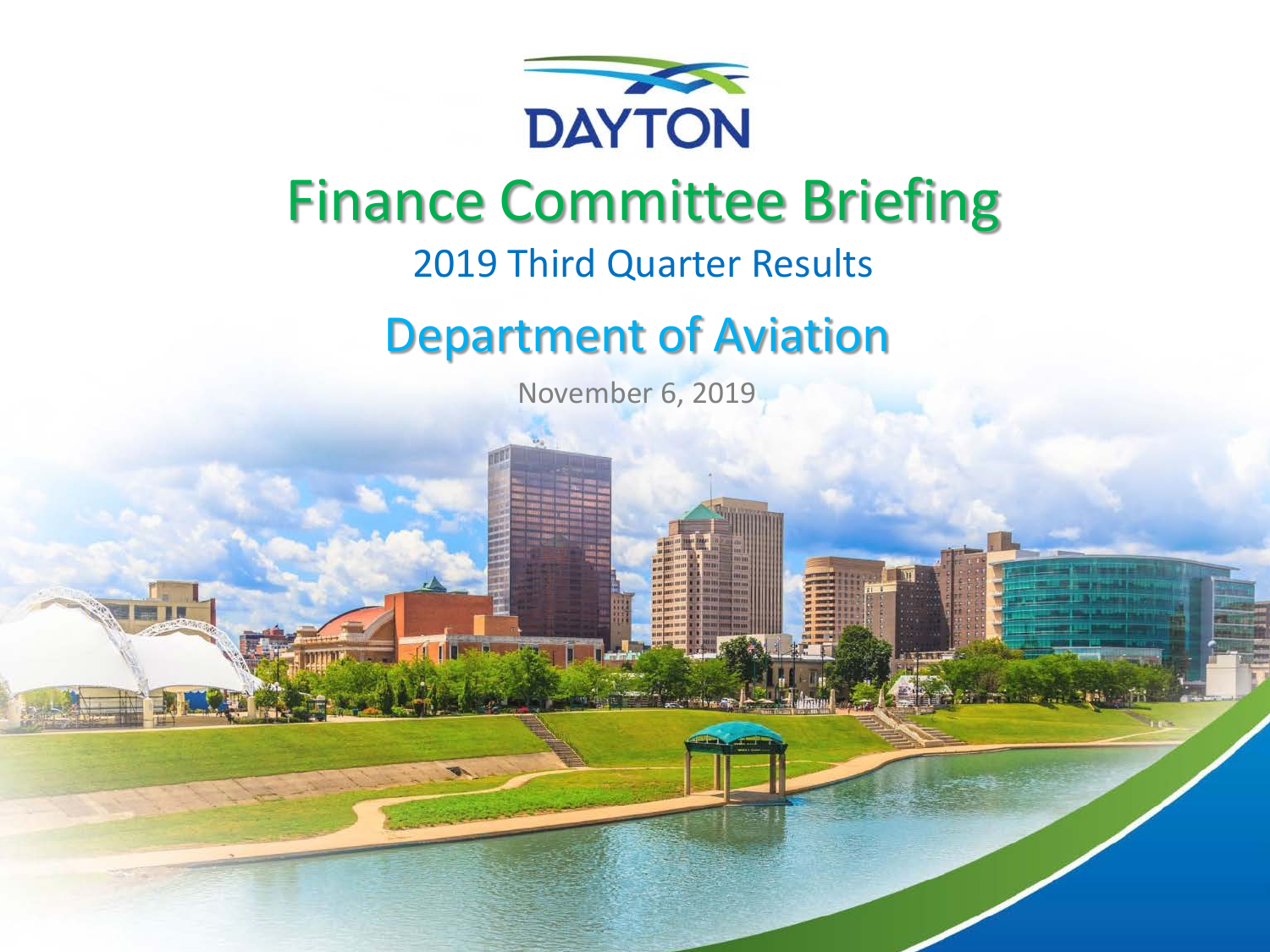

### Finance Committee Briefing

### 2019 Third Quarter Results

### Department of Aviation

November 6, 2019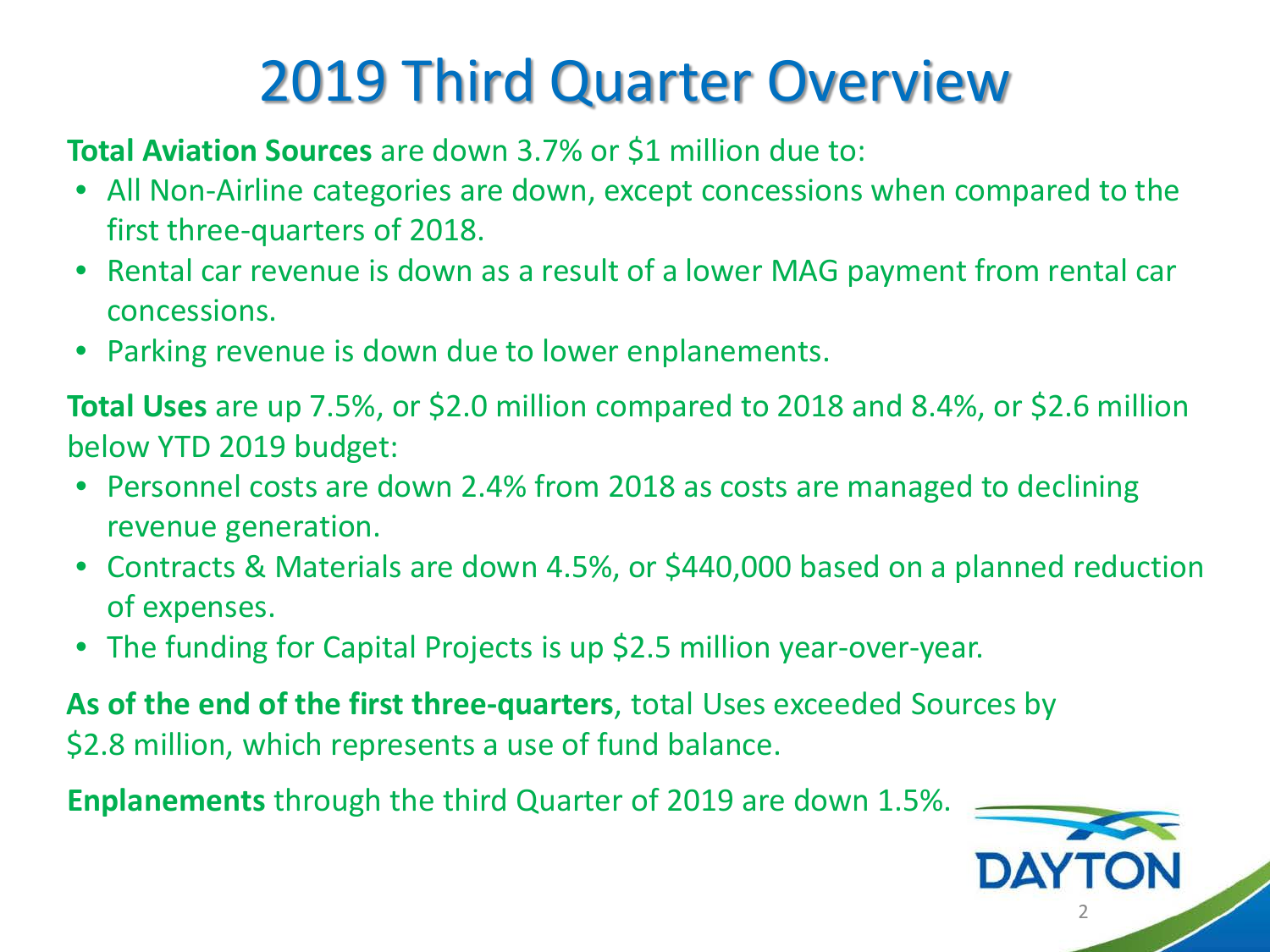# 2019 Third Quarter Overview

#### **Total Aviation Sources** are down 3.7% or \$1 million due to:

- All Non-Airline categories are down, except concessions when compared to the first three-quarters of 2018.
- Rental car revenue is down as a result of a lower MAG payment from rental car concessions.
- Parking revenue is down due to lower enplanements.

**Total Uses** are up 7.5%, or \$2.0 million compared to 2018 and 8.4%, or \$2.6 million below YTD 2019 budget:

- Personnel costs are down 2.4% from 2018 as costs are managed to declining revenue generation.
- Contracts & Materials are down 4.5%, or \$440,000 based on a planned reduction of expenses.
- The funding for Capital Projects is up \$2.5 million year-over-year.

**As of the end of the first three-quarters**, total Uses exceeded Sources by \$2.8 million, which represents a use of fund balance.

**Enplanements** through the third Quarter of 2019 are down 1.5%.

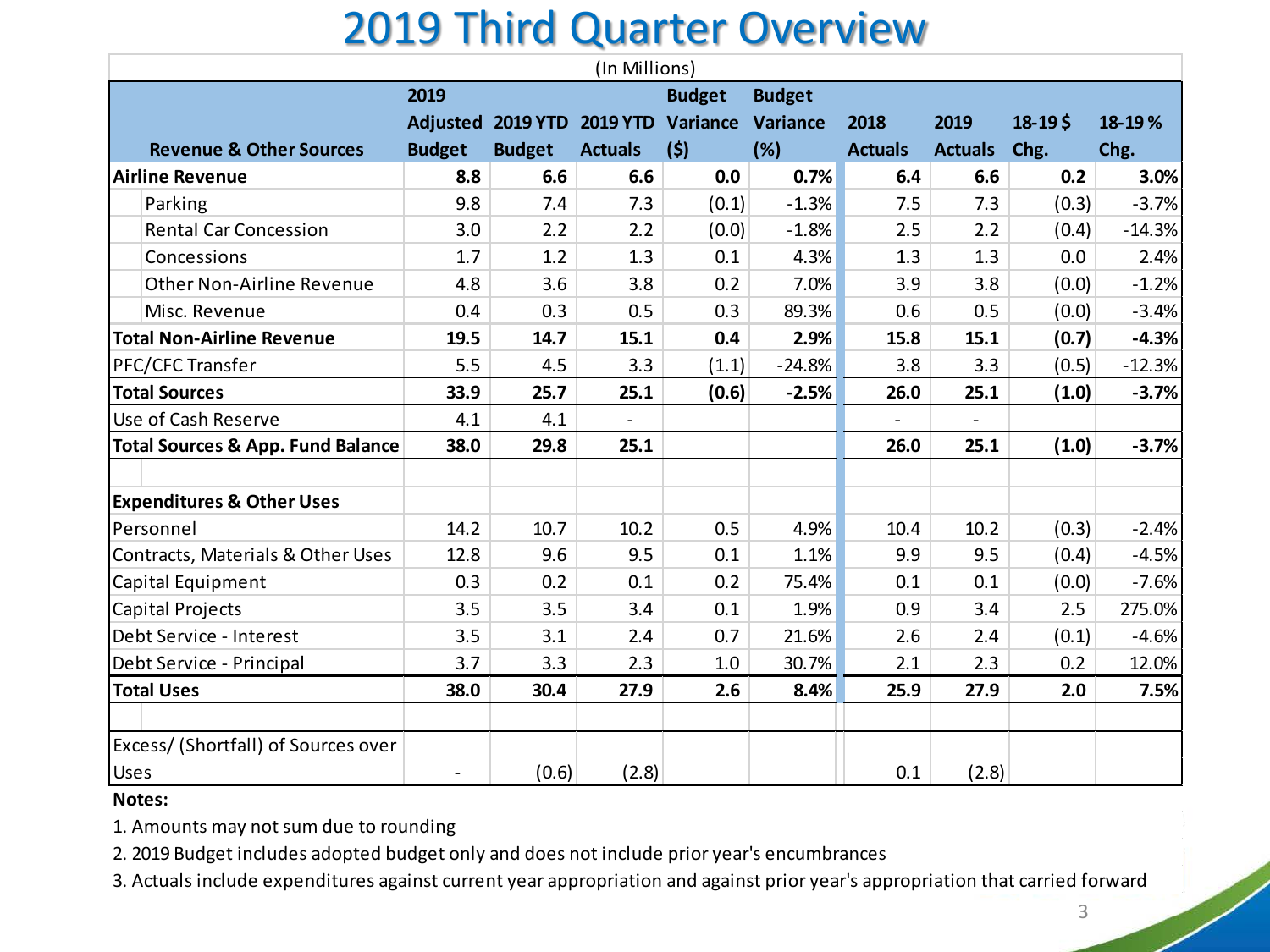### 2019 Third Quarter Overview

|                                              |                |                                              | (In Millions)            |               |               |                |                          |            |          |
|----------------------------------------------|----------------|----------------------------------------------|--------------------------|---------------|---------------|----------------|--------------------------|------------|----------|
|                                              | 2019           |                                              |                          | <b>Budget</b> | <b>Budget</b> |                |                          |            |          |
|                                              |                | Adjusted 2019 YTD 2019 YTD Variance Variance |                          |               |               | 2018           | 2019                     | $18 - 195$ | 18-19%   |
| <b>Revenue &amp; Other Sources</b>           | <b>Budget</b>  | <b>Budget</b>                                | <b>Actuals</b>           | (5)           | (%)           | <b>Actuals</b> | <b>Actuals</b>           | Chg.       | Chg.     |
| <b>Airline Revenue</b>                       | 8.8            | 6.6                                          | 6.6                      | 0.0           | 0.7%          | 6.4            | 6.6                      | 0.2        | 3.0%     |
| Parking                                      | 9.8            | 7.4                                          | 7.3                      | (0.1)         | $-1.3%$       | 7.5            | 7.3                      | (0.3)      | $-3.7%$  |
| <b>Rental Car Concession</b>                 | 3.0            | 2.2                                          | 2.2                      | (0.0)         | $-1.8%$       | 2.5            | 2.2                      | (0.4)      | $-14.3%$ |
| Concessions                                  | 1.7            | 1.2                                          | 1.3                      | 0.1           | 4.3%          | 1.3            | 1.3                      | 0.0        | 2.4%     |
| Other Non-Airline Revenue                    | 4.8            | 3.6                                          | 3.8                      | 0.2           | 7.0%          | 3.9            | 3.8                      | (0.0)      | $-1.2%$  |
| Misc. Revenue                                | 0.4            | 0.3                                          | 0.5                      | 0.3           | 89.3%         | 0.6            | 0.5                      | (0.0)      | $-3.4%$  |
| <b>Total Non-Airline Revenue</b>             | 19.5           | 14.7                                         | 15.1                     | 0.4           | 2.9%          | 15.8           | 15.1                     | (0.7)      | $-4.3%$  |
| PFC/CFC Transfer                             | 5.5            | 4.5                                          | 3.3                      | (1.1)         | $-24.8%$      | 3.8            | 3.3                      | (0.5)      | $-12.3%$ |
| <b>Total Sources</b>                         | 33.9           | 25.7                                         | 25.1                     | (0.6)         | $-2.5%$       | 26.0           | 25.1                     | (1.0)      | $-3.7%$  |
| Use of Cash Reserve                          | 4.1            | 4.1                                          | $\overline{\phantom{a}}$ |               |               |                | $\overline{\phantom{a}}$ |            |          |
| <b>Total Sources &amp; App. Fund Balance</b> | 38.0           | 29.8                                         | 25.1                     |               |               | 26.0           | 25.1                     | (1.0)      | $-3.7%$  |
|                                              |                |                                              |                          |               |               |                |                          |            |          |
| <b>Expenditures &amp; Other Uses</b>         |                |                                              |                          |               |               |                |                          |            |          |
| Personnel                                    | 14.2           | 10.7                                         | 10.2                     | 0.5           | 4.9%          | 10.4           | 10.2                     | (0.3)      | $-2.4%$  |
| Contracts, Materials & Other Uses            | 12.8           | 9.6                                          | 9.5                      | 0.1           | 1.1%          | 9.9            | 9.5                      | (0.4)      | $-4.5%$  |
| Capital Equipment                            | 0.3            | 0.2                                          | 0.1                      | 0.2           | 75.4%         | 0.1            | 0.1                      | (0.0)      | $-7.6%$  |
| Capital Projects                             | 3.5            | 3.5                                          | 3.4                      | 0.1           | 1.9%          | 0.9            | 3.4                      | 2.5        | 275.0%   |
| Debt Service - Interest                      | 3.5            | 3.1                                          | 2.4                      | 0.7           | 21.6%         | 2.6            | 2.4                      | (0.1)      | $-4.6%$  |
| Debt Service - Principal                     | 3.7            | 3.3                                          | 2.3                      | 1.0           | 30.7%         | 2.1            | 2.3                      | 0.2        | 12.0%    |
| <b>Total Uses</b>                            | 38.0           | 30.4                                         | 27.9                     | 2.6           | 8.4%          | 25.9           | 27.9                     | 2.0        | 7.5%     |
|                                              |                |                                              |                          |               |               |                |                          |            |          |
| Excess/ (Shortfall) of Sources over          |                |                                              |                          |               |               |                |                          |            |          |
| <b>Uses</b>                                  | $\blacksquare$ | (0.6)                                        | (2.8)                    |               |               | 0.1            | (2.8)                    |            |          |

#### **Notes:**

1. Amounts may not sum due to rounding

2. 2019 Budget includes adopted budget only and does not include prior year's encumbrances

3. Actuals include expenditures against current year appropriation and against prior year's appropriation that carried forward

3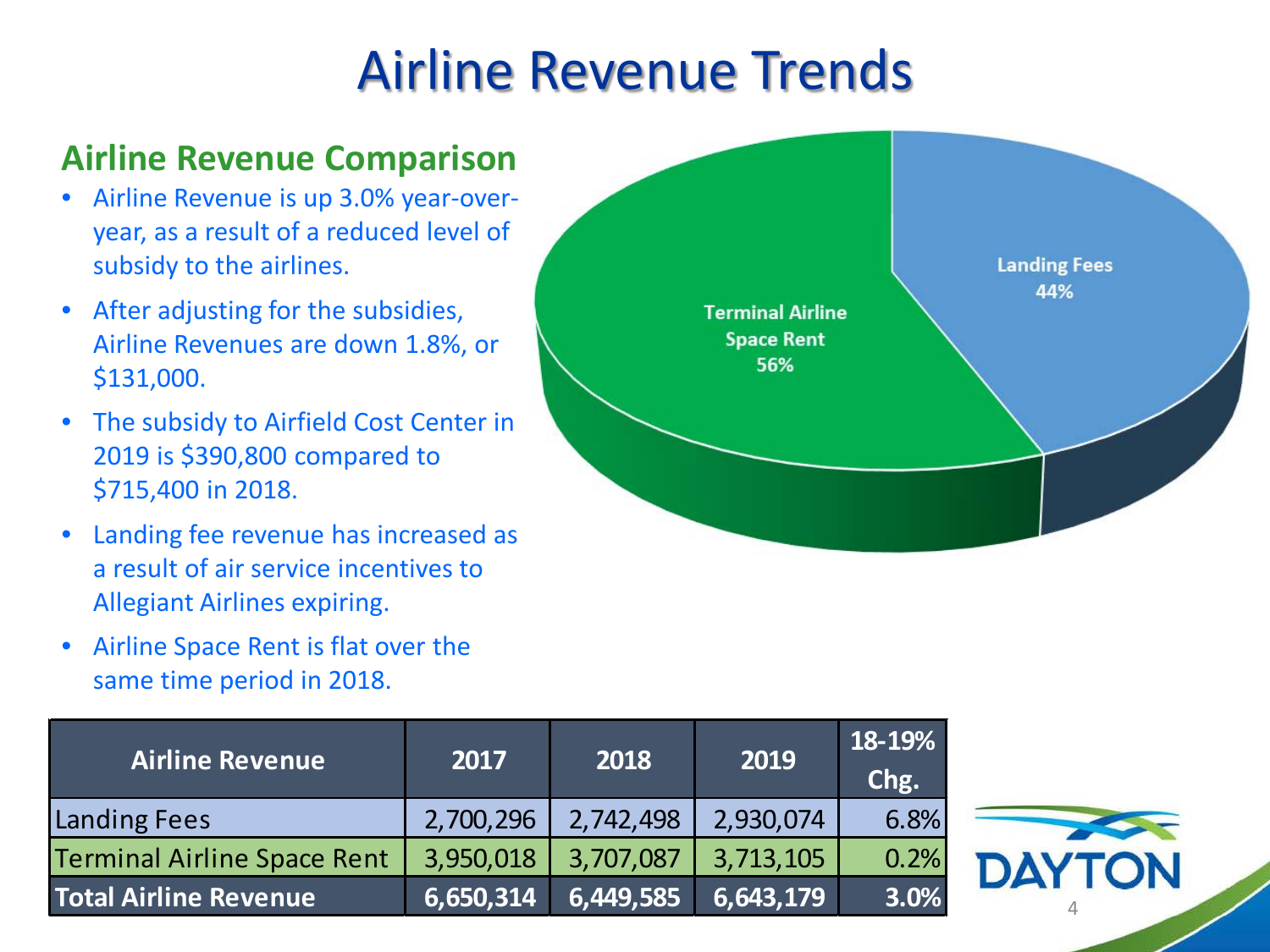## Airline Revenue Trends

### **Airline Revenue Comparison**

- Airline Revenue is up 3.0% year-overyear, as a result of a reduced level of subsidy to the airlines.
- After adjusting for the subsidies, Airline Revenues are down 1.8%, or \$131,000.
- The subsidy to Airfield Cost Center in 2019 is \$390,800 compared to \$715,400 in 2018.
- Landing fee revenue has increased as a result of air service incentives to Allegiant Airlines expiring.
- Airline Space Rent is flat over the same time period in 2018.

| <b>Airline Revenue</b>             | 2017      | 2018               | 2019      | 18-19%<br>Chg. |
|------------------------------------|-----------|--------------------|-----------|----------------|
| <b>Landing Fees</b>                | 2,700,296 | 2,742,498          | 2,930,074 | 6.8%           |
| <b>Terminal Airline Space Rent</b> | 3,950,018 | 3,707,087          | 3,713,105 | 0.2%           |
| <b>Total Airline Revenue</b>       | 6,650,314 | $\sqrt{6,449,585}$ | 6,643,179 | 3.0%           |



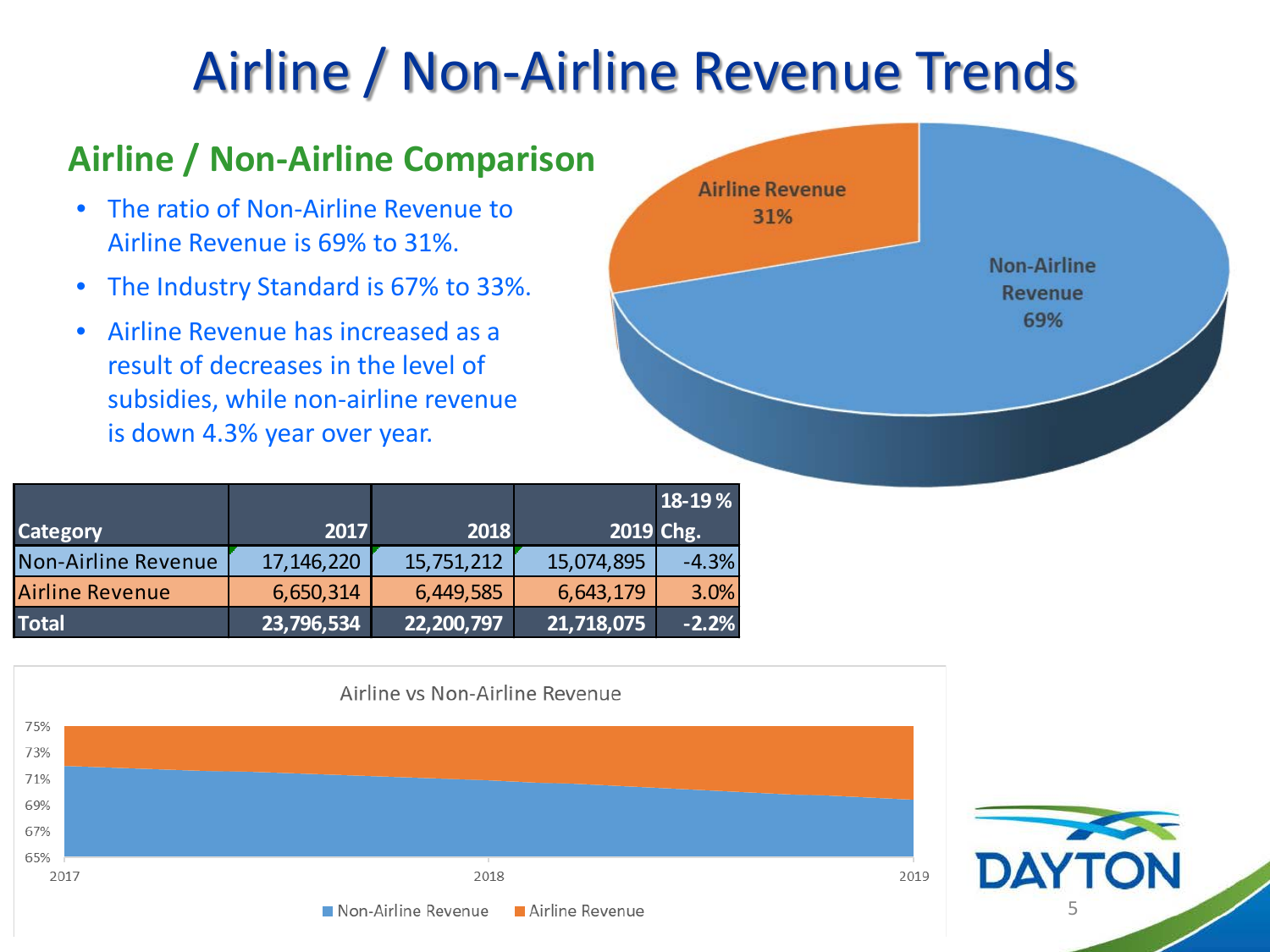# Airline / Non-Airline Revenue Trends

### **Airline / Non-Airline Comparison**

- The ratio of Non-Airline Revenue to Airline Revenue is 69% to 31%.
- The Industry Standard is 67% to 33%.
- Airline Revenue has increased as a result of decreases in the level of subsidies, while non-airline revenue is down 4.3% year over year.

|                            |            |            |            | 18-19 % |
|----------------------------|------------|------------|------------|---------|
| <b>Category</b>            | 2017       | 2018       | 2019 Chg.  |         |
| <b>Non-Airline Revenue</b> | 17,146,220 | 15,751,212 | 15,074,895 | $-4.3%$ |
| <b>Airline Revenue</b>     | 6,650,314  | 6,449,585  | 6,643,179  | 3.0%    |
| <b>Total</b>               | 23,796,534 | 22,200,797 | 21,718,075 | $-2.2%$ |





5

**DAY**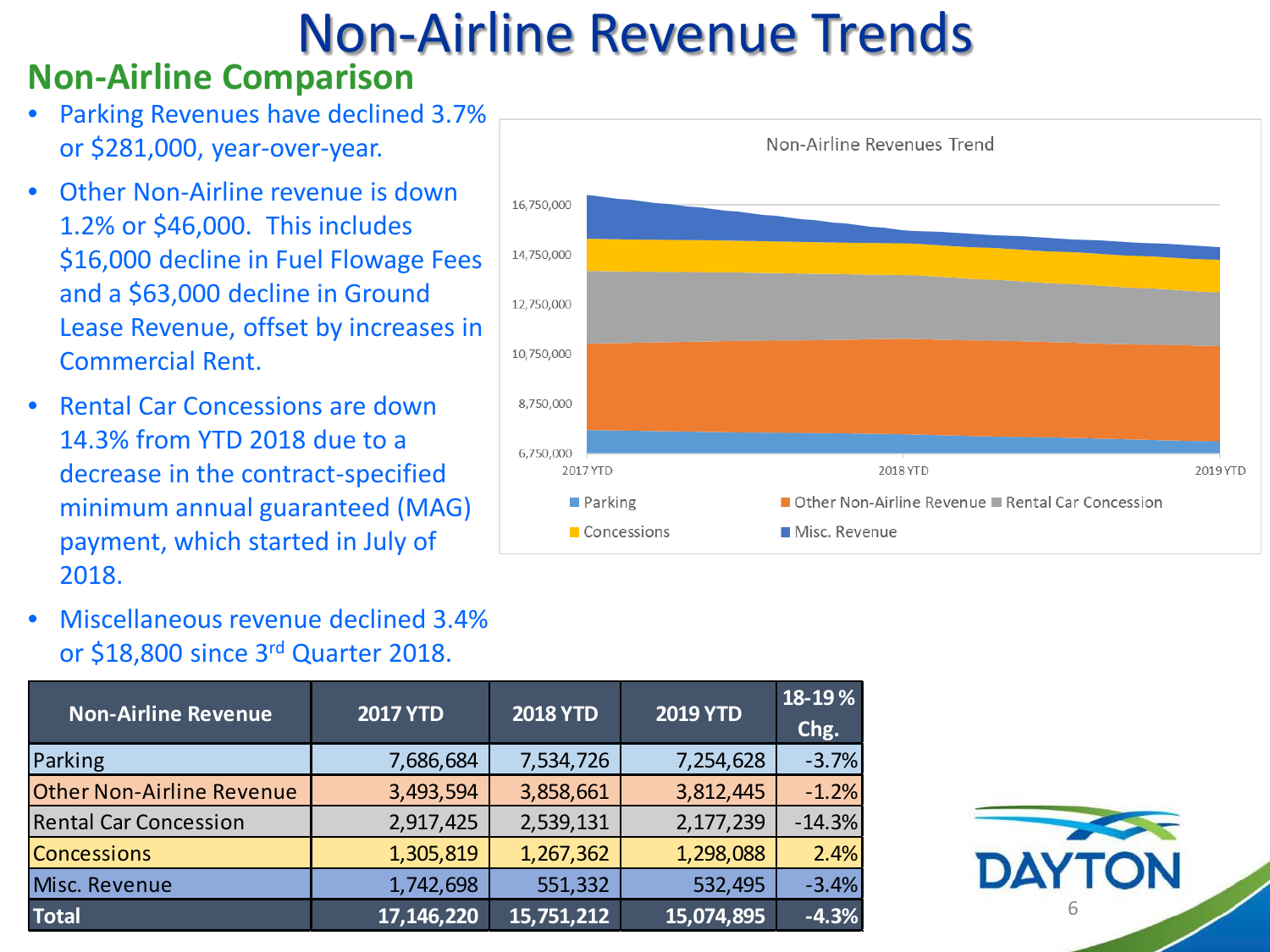# Non-Airline Revenue Trends

#### **Non-Airline Comparison**

- Parking Revenues have declined 3.7% or \$281,000, year-over-year.
- Other Non-Airline revenue is down 1.2% or \$46,000. This includes \$16,000 decline in Fuel Flowage Fees and a \$63,000 decline in Ground Lease Revenue, offset by increases in Commercial Rent.
- Rental Car Concessions are down 14.3% from YTD 2018 due to a decrease in the contract-specified minimum annual guaranteed (MAG) payment, which started in July of 2018.



• Miscellaneous revenue declined 3.4% or \$18,800 since 3rd Quarter 2018.

| <b>Non-Airline Revenue</b>       | <b>2017 YTD</b> | <b>2018 YTD</b> | <b>2019 YTD</b> | 18-19%<br>Chg. |
|----------------------------------|-----------------|-----------------|-----------------|----------------|
| Parking                          | 7,686,684       | 7,534,726       | 7,254,628       | $-3.7%$        |
| <b>Other Non-Airline Revenue</b> | 3,493,594       | 3,858,661       | 3,812,445       | $-1.2%$        |
| <b>Rental Car Concession</b>     | 2,917,425       | 2,539,131       | 2,177,239       | $-14.3%$       |
| <b>Concessions</b>               | 1,305,819       | 1,267,362       | 1,298,088       | 2.4%           |
| Misc. Revenue                    | 1,742,698       | 551,332         | 532,495         | $-3.4%$        |
| <b>Total</b>                     | 17, 146, 220    | 15,751,212      | 15,074,895      | $-4.3%$        |

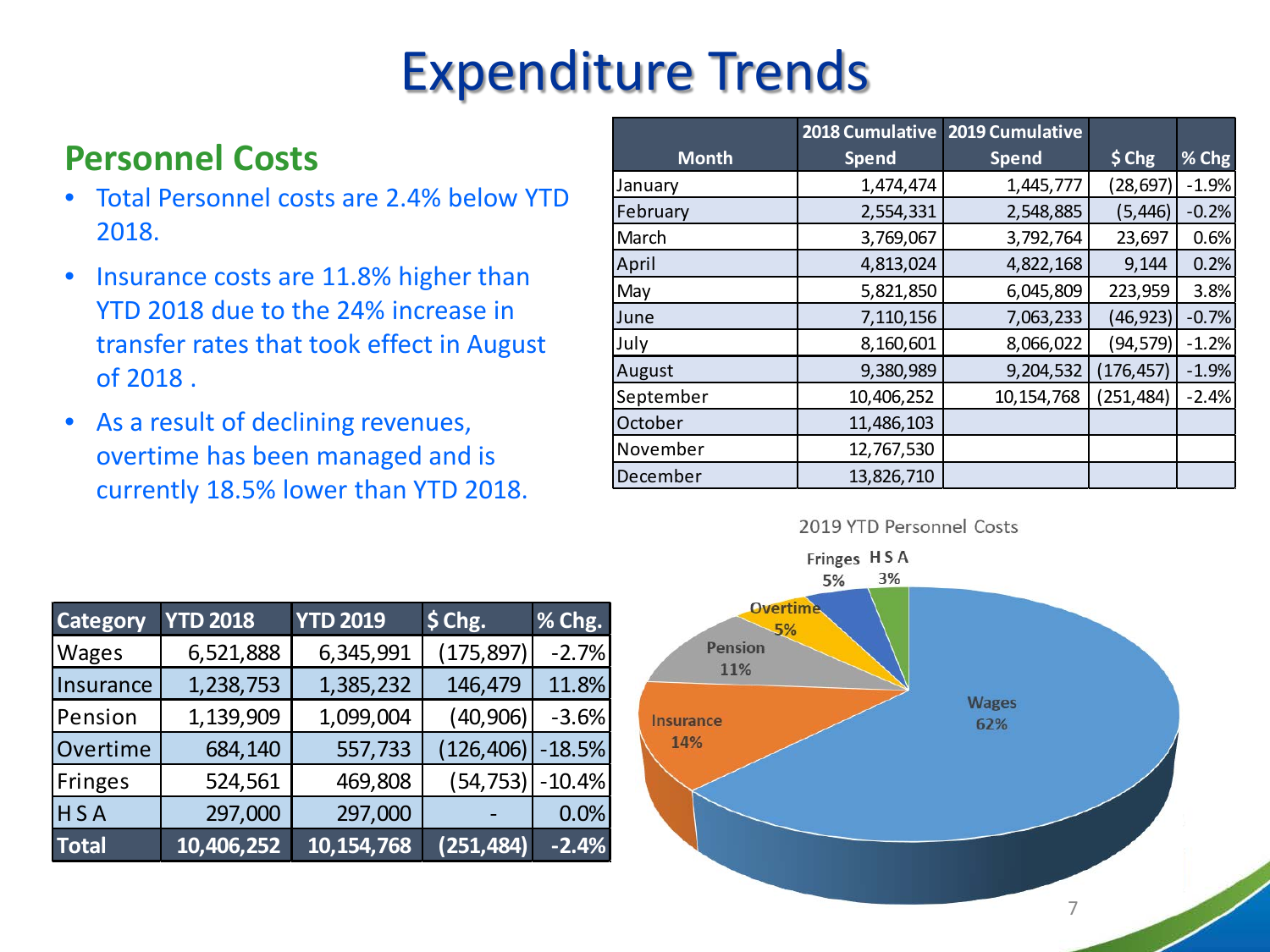# Expenditure Trends

### **Personnel Costs**

- Total Personnel costs are 2.4% below YTD 2018.
- Insurance costs are 11.8% higher than YTD 2018 due to the 24% increase in transfer rates that took effect in August of 2018 .
- As a result of declining revenues, overtime has been managed and is currently 18.5% lower than YTD 2018.

|              | 2018 Cumulative | 2019 Cumulative |            |         |
|--------------|-----------------|-----------------|------------|---------|
| <b>Month</b> | <b>Spend</b>    | <b>Spend</b>    | $$$ Chg    | % Chg   |
| January      | 1,474,474       | 1,445,777       | (28,697)   | $-1.9%$ |
| February     | 2,554,331       | 2,548,885       | (5,446)    | $-0.2%$ |
| March        | 3,769,067       | 3,792,764       | 23,697     | 0.6%    |
| April        | 4,813,024       | 4,822,168       | 9,144      | 0.2%    |
| May          | 5,821,850       | 6,045,809       | 223,959    | 3.8%    |
| June         | 7,110,156       | 7,063,233       | (46, 923)  | $-0.7%$ |
| July         | 8,160,601       | 8,066,022       | (94,579)   | $-1.2%$ |
| August       | 9,380,989       | 9,204,532       | (176, 457) | $-1.9%$ |
| September    | 10,406,252      | 10,154,768      | (251, 484) | $-2.4%$ |
| October      | 11,486,103      |                 |            |         |
| November     | 12,767,530      |                 |            |         |
| December     | 13,826,710      |                 |            |         |



2019 YTD Personnel Costs

| <b>Category</b> | <b>YTD 2018</b> | <b>YTD 2019</b> | $$$ Chg.   | % Chg.   |
|-----------------|-----------------|-----------------|------------|----------|
| <b>Wages</b>    | 6,521,888       | 6,345,991       | (175, 897) | $-2.7%$  |
| Insurance       | 1,238,753       | 1,385,232       | 146,479    | 11.8%    |
| Pension         | 1,139,909       | 1,099,004       | (40, 906)  | $-3.6%$  |
| Overtime        | 684,140         | 557,733         | (126, 406) | $-18.5%$ |
| <b>Fringes</b>  | 524,561         | 469,808         | (54, 753)  | $-10.4%$ |
| HSA             | 297,000         | 297,000         |            | 0.0%     |
| <b>Total</b>    | 10,406,252      | 10,154,768      | (251, 484) | $-2.4%$  |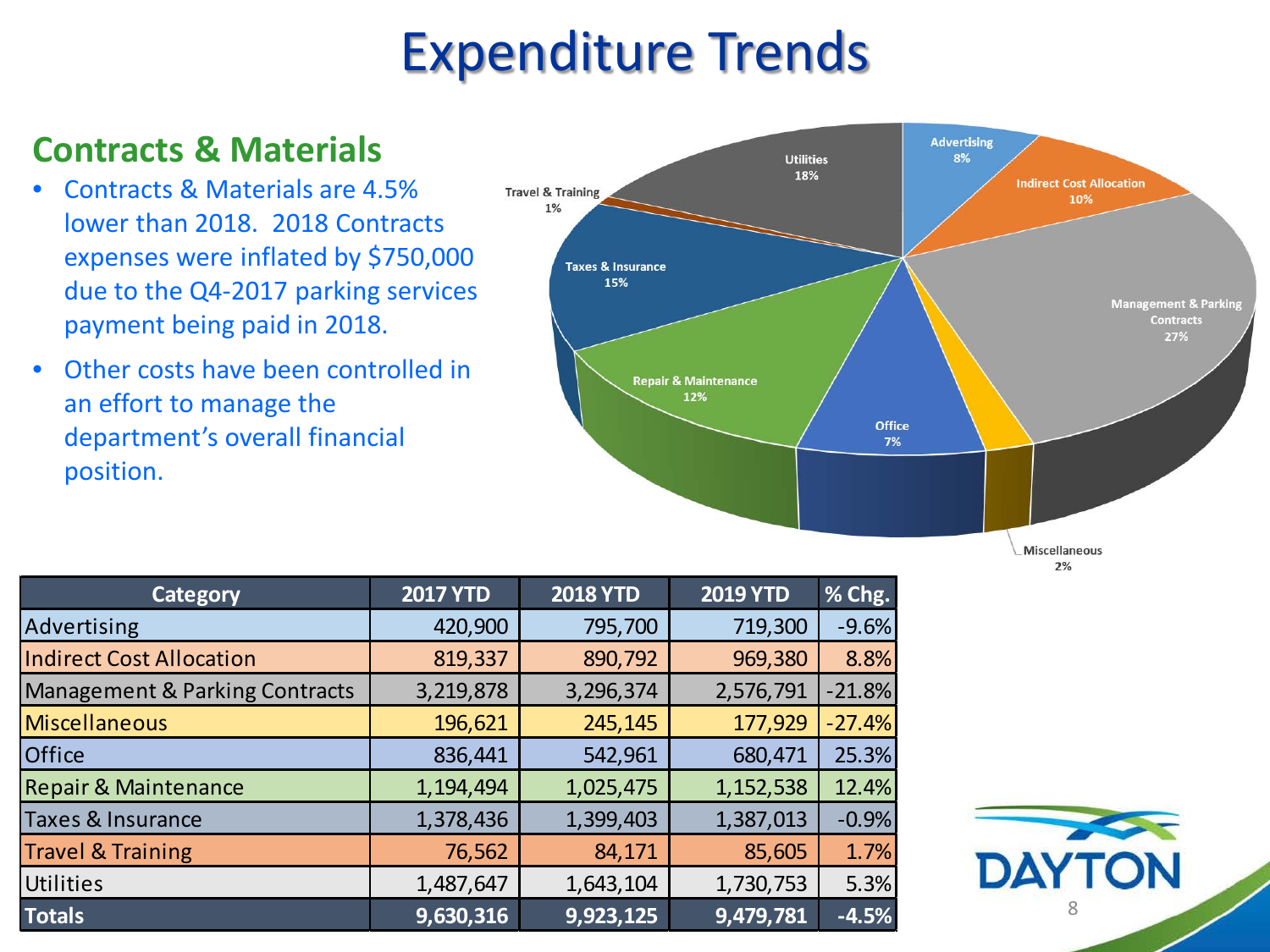## Expenditure Trends

### **Contracts & Materials**

- Contracts & Materials are 4.5% lower than 2018. 2018 Contracts expenses were inflated by \$750,000 due to the Q4-2017 parking services payment being paid in 2018.
- Other costs have been controlled in an effort to manage the department's overall financial position.



 $2%$ 

| <b>Category</b>                           | <b>2017 YTD</b> | <b>2018 YTD</b> | <b>2019 YTD</b> | % Chg.   |
|-------------------------------------------|-----------------|-----------------|-----------------|----------|
| Advertising                               | 420,900         | 795,700         | 719,300         | $-9.6%$  |
| <b>Indirect Cost Allocation</b>           | 819,337         | 890,792         | 969,380         | 8.8%     |
| <b>Management &amp; Parking Contracts</b> | 3,219,878       | 3,296,374       | 2,576,791       | $-21.8%$ |
| <b>Miscellaneous</b>                      | 196,621         | 245,145         | 177,929         | $-27.4%$ |
| <b>Office</b>                             | 836,441         | 542,961         | 680,471         | 25.3%    |
| <b>Repair &amp; Maintenance</b>           | 1,194,494       | 1,025,475       | 1,152,538       | 12.4%    |
| <b>Taxes &amp; Insurance</b>              | 1,378,436       | 1,399,403       | 1,387,013       | $-0.9%$  |
| <b>Travel &amp; Training</b>              | 76,562          | 84,171          | 85,605          | 1.7%     |
| <b>Utilities</b>                          | 1,487,647       | 1,643,104       | 1,730,753       | 5.3%     |
| <b>Totals</b>                             | 9,630,316       | 9,923,125       | 9,479,781       | $-4.5%$  |

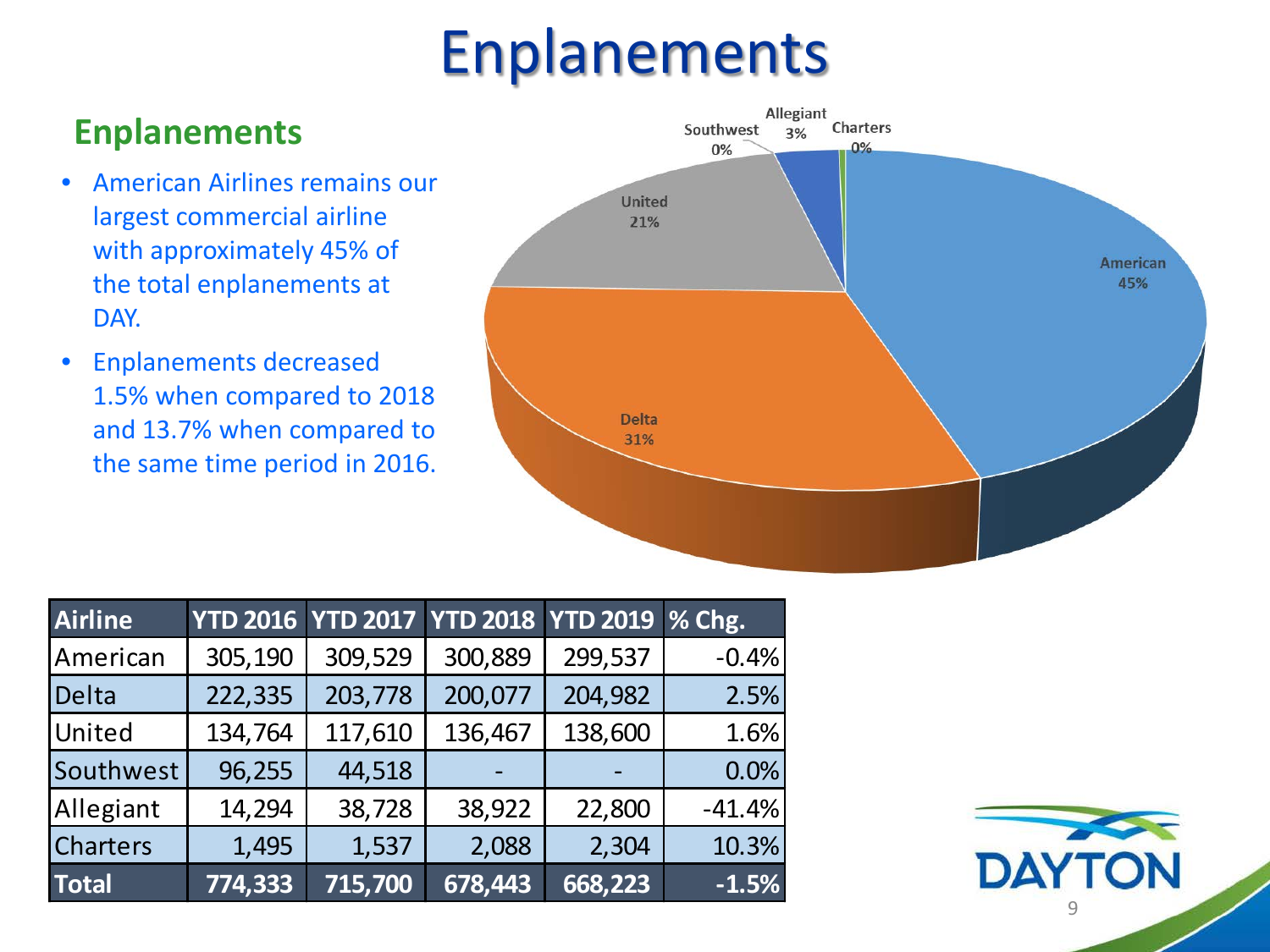# Enplanements

### **Enplanements**

- American Airlines remains our largest commercial airline with approximately 45% of the total enplanements at DAY.
- Enplanements decreased 1.5% when compared to 2018 and 13.7% when compared to the same time period in 2016.



| Airline         |         |         | YTD 2016 YTD 2017 YTD 2018 YTD 2019 % Chg. |         |          |
|-----------------|---------|---------|--------------------------------------------|---------|----------|
| American        | 305,190 | 309,529 | 300,889                                    | 299,537 | $-0.4%$  |
| Delta           | 222,335 | 203,778 | 200,077                                    | 204,982 | 2.5%     |
| United          | 134,764 | 117,610 | 136,467                                    | 138,600 | 1.6%     |
| Southwest       | 96,255  | 44,518  |                                            |         | 0.0%     |
| Allegiant       | 14,294  | 38,728  | 38,922                                     | 22,800  | $-41.4%$ |
| <b>Charters</b> | 1,495   | 1,537   | 2,088                                      | 2,304   | 10.3%    |
| <b>Total</b>    | 774,333 | 715,700 | 678,443                                    | 668,223 | $-1.5%$  |

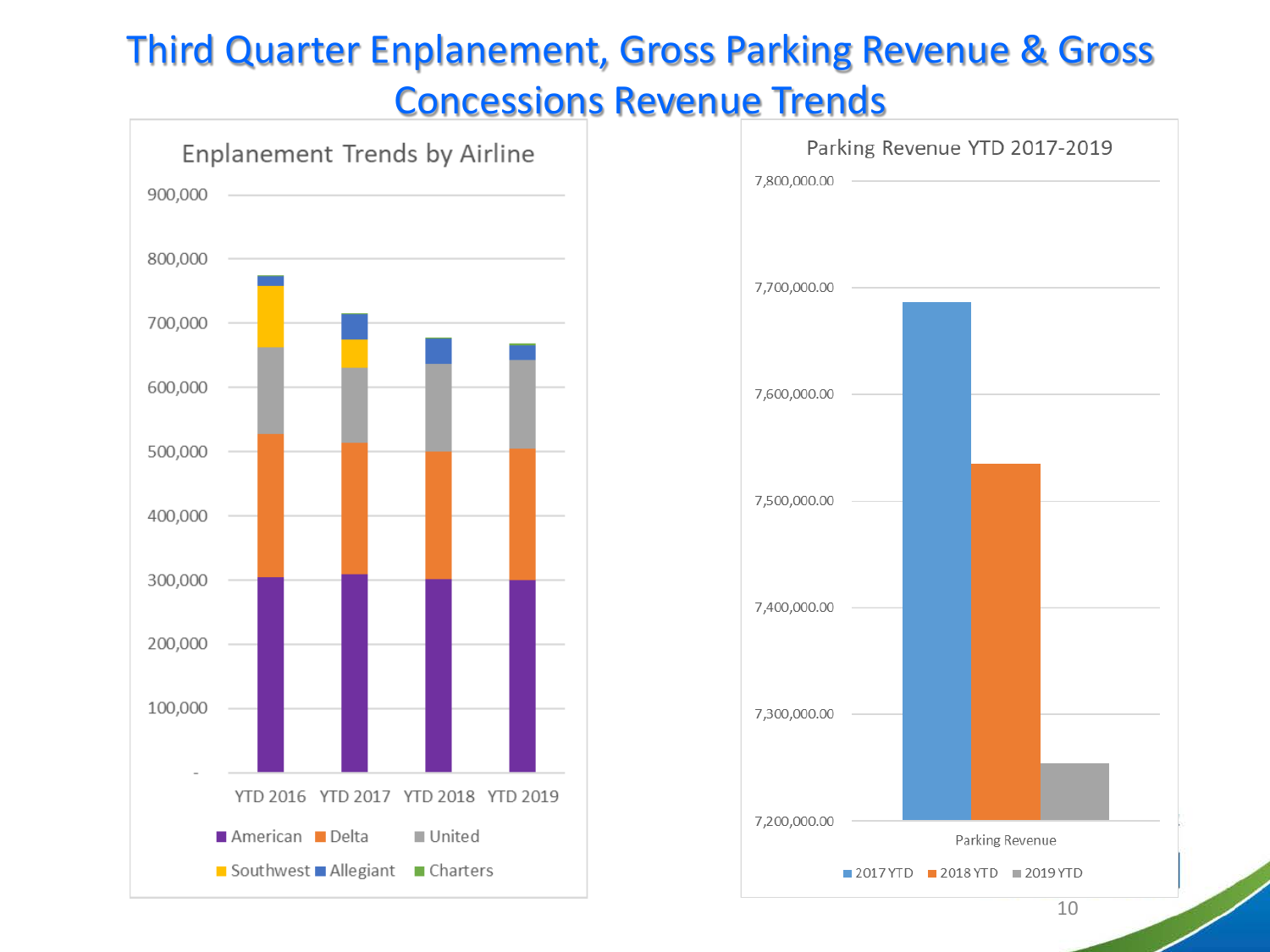### Third Quarter Enplanement, Gross Parking Revenue & Gross

Concessions Revenue Trends





10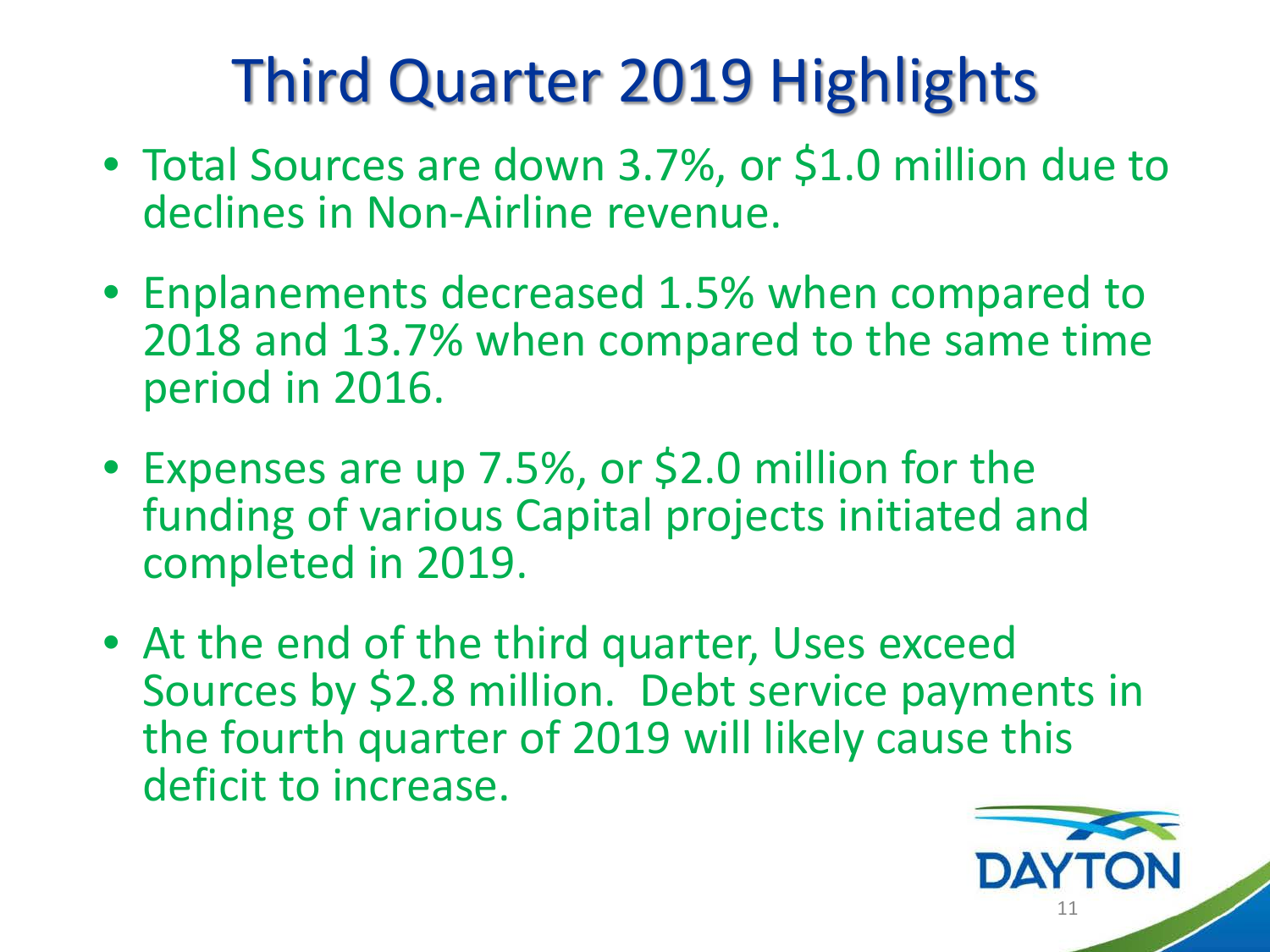# Third Quarter 2019 Highlights

- Total Sources are down 3.7%, or \$1.0 million due to declines in Non-Airline revenue.
- Enplanements decreased 1.5% when compared to 2018 and 13.7% when compared to the same time period in 2016.
- Expenses are up 7.5%, or \$2.0 million for the funding of various Capital projects initiated and completed in 2019.
- At the end of the third quarter, Uses exceed Sources by \$2.8 million. Debt service payments in the fourth quarter of 2019 will likely cause this deficit to increase.